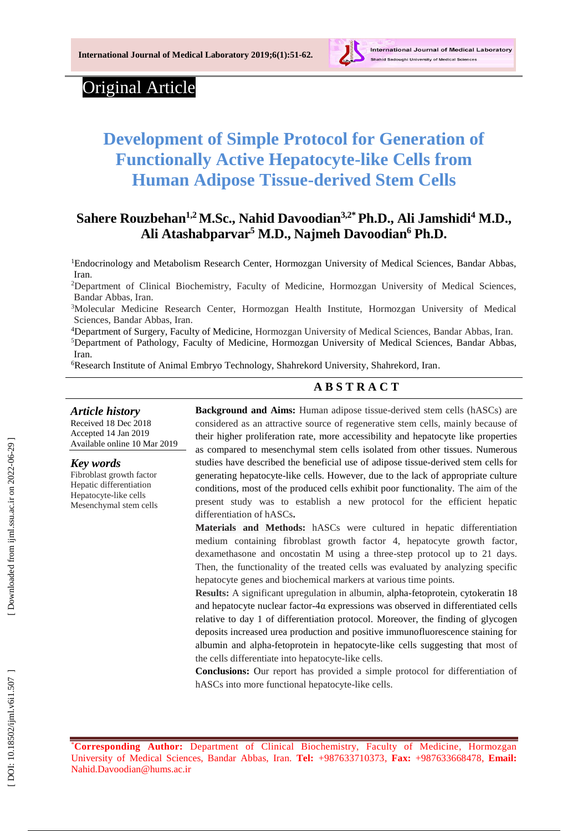

# Original Article

# **Development of Simple Protocol for Generation of Functionally Active Hepatocyte -like Cells from Human Adipose Tissue -derived Stem Cells**

# **Sahere Rouzbehan1,2M.Sc., Nahid Davoodian 3 , 2 \*Ph.D., Ali Jamshidi <sup>4</sup> M.D., Ali Atashabparvar <sup>5</sup> M.D., Najmeh Davoodian <sup>6</sup> Ph.D.**

<sup>1</sup>Endocrinology and Metabolism Research Center, Hormozgan University of Medical Sciences, Bandar Abbas, Iran .

<sup>2</sup>Department of Clinical Biochemistry, Faculty of Medicine, Hormozgan University of Medical Sciences, Bandar Abbas, Iran .

<sup>3</sup>Molecular Medicine Research Center, Hormozgan Health Institute, Hormozgan University of Medical Sciences, Bandar Abbas, Iran .

<sup>4</sup>Department of Surgery, Faculty of Medicine, Hormozgan University of Medical Sciences, Bandar Abbas, Iran .

<sup>5</sup>Department of Pathology, Faculty of Medicine, Hormozgan University of Medical Sciences, Bandar Abbas, Iran .

<sup>6</sup>Research Institute of Animal Embryo Technology, Shahrekord University, Shahrekord, Iran.

## **A B S T R A C T**

*Article history* Received 18 Dec 201 8 Accepted 1 4 Jan 201 9 Available online 10 Mar 201 9

*Key words*

Fibroblast growth factor Hepatic differentiation Hepatocyte -like cells Mesenchymal stem cells

**Background and Aims:** Human adipose tissue -derived stem cells (hASCs) are considered as an attractive source of regenerative stem cells, mainly because of their higher proliferation rate, more accessibility and hepatocyte like properties as compared to mesenchymal stem cells isolated from other tissues. Numerous studies have described the beneficial use of adipose tissue -derived stem cells for generating hepatocyte -like cells. However, due to the lack of appropriate culture conditions, most of the produced cells exhibit poor functionality. The aim of the present study was to establish a new protocol for the efficient hepatic differentiation of hASCs **.**

**Materials and Methods:** hASCs were cultured in hepatic differentiation medium containing fibroblast growth factor 4, hepatocyte growth factor , dexamethasone and oncostatin M using a three -step protocol up to 21 days. Then, the functionality of the treated cells was evaluated by analyzing specific hepatocyte genes and biochemical markers at various time points.

**Results:** A significant upregulation in albumin, alpha -fetoprotein, cytokeratin 18 and hepatocyte nuclear factor -4α expressions was observed in differentiated cells relative to day 1 of differentiation protocol. Moreover, the finding of glycogen deposits increased urea production and positive immunofluorescence staining for albumin and alpha -fetoprotein in hepatocyte -like cells suggesting that most of the cells differentiate into hepatocyte -like cells.

**Conclusions:** Our report has provided a simple protocol for differentiation of hASCs into more functional hepatocyte -like cells .

\***Corresponding Author:** Department of Clinical Biochemistry, Faculty of Medicine, Hormozgan University of Medical Sciences, Bandar Abbas, Iran. **Tel:** +987633710373, **Fax:** +987633668478, **Email:** [Nahid.Davoodian@hums.ac.ir](mailto:Nahid.Davoodian@hums.ac.ir)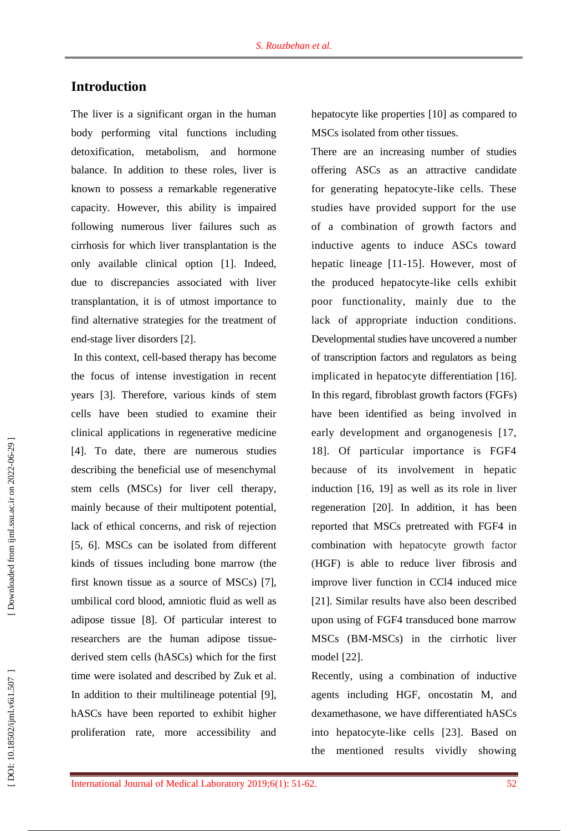# **Introduction**

The liver is a significant organ in the human body performing vital functions including detoxification, metabolism, and hormone balance. In addition to these roles, liver is known to possess a remarkable regenerative capacity. However, this ability is impaired following numerous liver failures such as cirrhosis for which liver transplantation is the only available clinical option [ 1 ] . Indeed, due to discrepancies associated with liver transplantation, it is of utmost importance to find alternative strategies for the treatment of end -stage liver disorders [ 2].

In this context, cell -based therapy has become the focus of intense investigation in recent years [ 3]. Therefore, various kinds of stem cells have been studied to examine their clinical applications in regenerative medicine [4]. To date, there are numerous studies describing the beneficial use of mesenchymal stem cells (MSCs) for liver cell therapy, mainly because of their multipotent potential, lack of ethical concerns, and risk of rejection [5, 6]. MSCs can be isolated from different kind s of tissues including bone marrow (the first known tissue as a source of MSCs) [7], umbilical cord blood, amniotic fluid as well as adipose tissue [ 8]. Of particular interest to researchers are the human adipose tissue derived stem cells (hASCs) which for the first time were isolated and described by Zuk et al. In addition to their multilineage potential [9], hASCs have been reported to exhibit higher proliferation rate, more accessibility and

hepatocyte like properties [10 ] as compared to MSCs isolated from other tissues.

There are an increasing number of studies offering ASCs as an attractive candidate for generating hepatocyte -like cells. These studies have provided support for the use of a combination of growth factors and inductive agents to induce ASCs toward hepatic lineage [11-15]. However, most of the produced hepatocyte -like cells exhibit poor functionality, mainly due to the lack of appropriate induction conditions. Developmental studies have uncovered a number of transcription factors and regulators as being implicated in hepatocyte differentiation [16]. In this regard, fibroblast growth factors (FGFs) have been identified as being involved in early development and organogenesis [17, 18]. Of particular importance is FGF4 because of its involvement in hepatic induction [16, 19 ] as well as its role in liver regeneration [20]. In addition, it has been reported that MSCs pretreated with FGF4 in combination with hepatocyte growth factor (HGF) is able to reduce liver fibrosis and improve liver function in CCl4 induced mice [21]. Similar results have also been described upon using of FGF4 transduced bone marrow MSCs (BM -MSCs) in the cirrhotic liver model [22].

Recently, using a combination of inductive agents including HGF, oncostatin M , and dexamethasone, we have differentiated hASCs into hepatocyte -like cells [23]. Based on the mentioned results vividly showing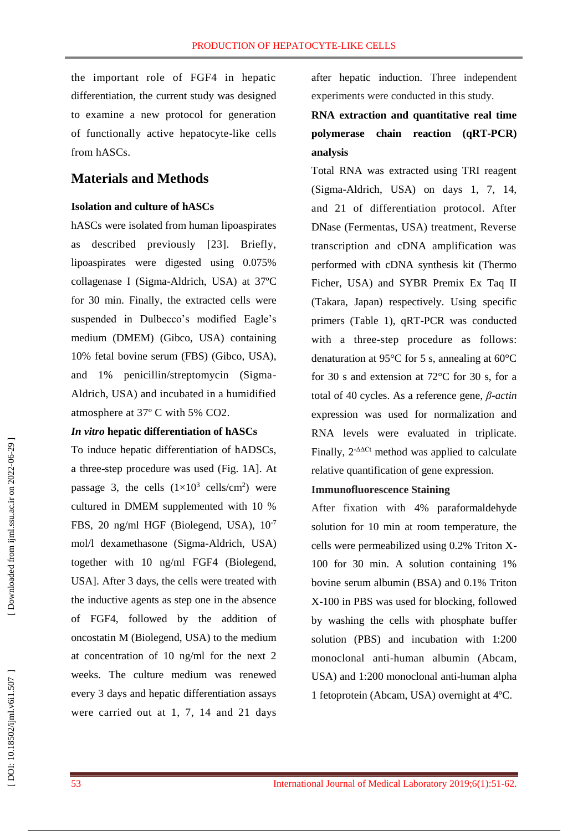the important role of FGF4 in hepatic differentiation, the current study was designed to examine a new protocol for generation of functionally active hepatocyte -like cells from hASCs.

## **Materials and Methods**

#### **Isolation and culture of hASCs**

hASCs were isolated from human lipoaspirates as described previously [23]. Briefly, lipoaspirates were digested using 0.075% collagenase I (Sigma -Aldrich, USA) at 37ºC for 30 min. Finally, the extracted cells were suspended in Dulbecco's modified Eagle's medium (DMEM) (Gibco, USA) containing 10% fetal bovine serum (FBS) (Gibco, USA), and 1% penicillin/streptomycin (Sigma - Aldrich, USA) and incubated in a humidified atmosphere at 37º C with 5% CO2.

#### *In vitro* **hepatic differentiation of hASCs**

To induce hepatic differentiation of hADSCs, a three -step procedure was used (Fig. 1A]. At passage 3, the cells  $(1\times10^3 \text{ cells/cm}^2)$  were cultured in DMEM supplemented with 10 % FBS, 20 ng/ml HGF (Biolegend, USA),  $10^{-7}$ mol/l dexamethasone (Sigma -Aldrich, USA) together with 10 ng/ml FGF4 (Biolegend, USA]. After 3 days, the cells were treated with the inductive agents as step one in the absence of FGF4, followed by the addition of oncostatin M (Biolegend, USA) to the medium at concentration of 10 ng/ml for the next 2 weeks. The culture medium was renewed every 3 days and hepatic differentiation assays were carried out at 1, 7, 14 and 21 days

after hepatic induction. Three independent experiments were conducted in this study.

# **RNA extraction and quantitative real time polymerase chain reaction (qRT -PCR) analysis**

Total RNA was extracted using TRI reagent (Sigma -Aldrich, USA) on days 1, 7, 14, and 21 of differentiation protocol. After DNase ( Fermentas, USA) treatment, Reverse transcription and cDNA amplification was performed with cDNA synthesis kit (Thermo Ficher, USA) and SYBR Premix Ex Taq II (Takara, Japan) respectively. Using specific primers (Table 1), qRT -PCR was conducted with a three - step procedure as follows: denaturation at 95°C for 5 s, annealing at 60°C for 30 s and extension at 72°C for 30 s, for a total of 40 cycles. As a reference gene, *β -actin* expression was used for normalization and RNA levels were evaluated in triplicate. Finally,  $2^{-\Delta\Delta Ct}$  method was applied to calculate relative quantification of gene expression.

#### **Immunofluorescence Staining**

After fixation with 4% paraformaldehyde solution for 10 min at room temperature, the cells were permeabilized using 0.2% Triton X - 100 for 30 min. A solution containing 1% bovine serum albumin (BSA ) and 0.1% Triton X -100 in PBS was used for blocking, followed by washing the cells with phosphate buffer solution (PBS) and incubation with 1:200 monoclonal anti -human albumin (Abcam, USA) and 1:200 monoclonal anti -human alpha 1 fetoprotein (Abcam, USA) overnight at 4ºC.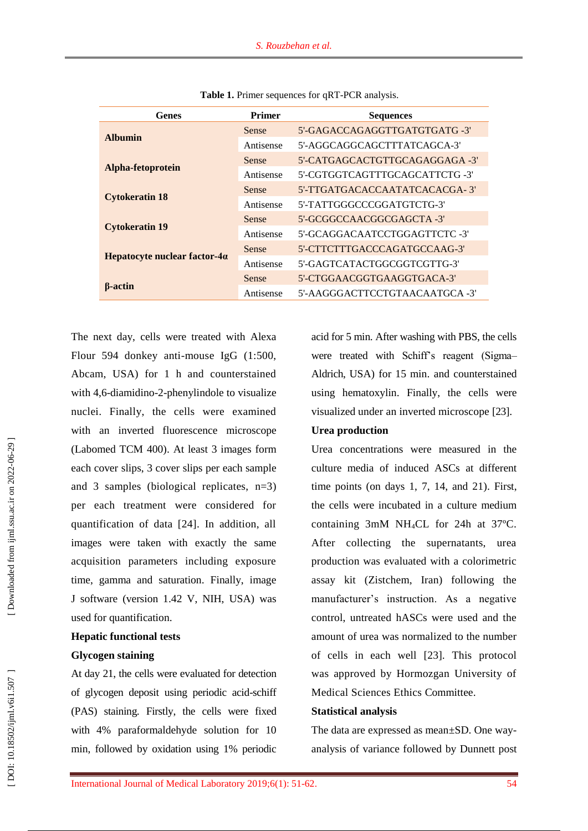| Genes                                | <b>Primer</b> | <b>Sequences</b>               |
|--------------------------------------|---------------|--------------------------------|
| <b>Albumin</b>                       | <b>Sense</b>  | 5'-GAGACCAGAGGTTGATGTGATG -3'  |
|                                      | Antisense     | 5'-AGGCAGGCAGCTTTATCAGCA-3'    |
| Alpha-fetoprotein                    | <b>Sense</b>  | 5'-CATGAGCACTGTTGCAGAGGAGA -3' |
|                                      | Antisense     | 5'-CGTGGTCAGTTTGCAGCATTCTG -3' |
| <b>Cytokeratin 18</b>                | Sense         | 5'-TTGATGACACCAATATCACACGA-3'  |
|                                      | Antisense     | 5'-TATTGGGCCCGGATGTCTG-3'      |
| <b>Cytokeratin 19</b>                | <b>Sense</b>  | 5'-GCGGCCAACGGCGAGCTA -3'      |
|                                      | Antisense     | 5'-GCAGGACAATCCTGGAGTTCTC -3'  |
| Hepatocyte nuclear factor- $4\alpha$ | <b>Sense</b>  | 5'-CTTCTTTGACCCAGATGCCAAG-3'   |
|                                      | Antisense     | 5'-GAGTCATACTGGCGGTCGTTG-3'    |
| <b>B</b> -actin                      | <b>Sense</b>  | 5'-CTGGAACGGTGAAGGTGACA-3'     |
|                                      | Antisense     | 5'-AAGGGACTTCCTGTAACAATGCA-3'  |

Table 1. Primer sequences for qRT-PCR analysis.

The next day, cells were treated with Alexa Flour 594 donkey anti -mouse IgG (1:500, Abcam, USA) for 1 h and counterstained with 4,6-diamidino-2-phenylindole to visualize nuclei. Finally, the cells were examined with an inverted fluorescence microscope (Labomed TCM 400). At least 3 images form each cover slips, 3 cover slips per each sample and 3 samples (biological replicates, n=3) per each treatment were considered for quantification of data [24]. In addition, all images were taken with exactly the same acquisition parameters including exposure time, gamma and saturation. Finally, image J software (version 1.42 V, NIH, USA) was used for quantification.

#### **Hepatic functional tests**

#### **Glycogen staining**

At day 21, the cells were evaluated for detection of glycogen deposit using periodic acid -schiff (PAS) staining. Firstly, the cells were fixed with 4% paraformaldehyde solution for 10 min, followed by oxidation using 1% periodic

acid for 5 min. After washing with PBS, the cells were treated with Schiff's reagent (Sigma– Aldrich, USA) for 15 min . and counterstained using hematoxylin. Finally, the cells were visualized under an inverted microscope [23].

#### **Urea production**

Urea concentrations were measured in the culture media of induced ASCs at different time points (on days 1, 7, 14, and 21 ) . First, the cells were incubated in a culture medium containing 3mM NH <sup>4</sup>CL for 24h at 37ºC. After collecting the supernatants, urea production was evaluated with a colorimetric assay kit (Zistchem, Iran) following the manufacturer's instruction. As a negative control, untreated hASCs were used and the amount of urea was normalized to the number of cells in each well [23]. This protocol was approved by Hormozgan University of Medical Sciences Ethics Committee.

#### **Statistical analysis**

The data are expressed as mean±SD. One wayanalysis of variance followed by Dunnett post

[Downloaded from ijml.ssu.ac.ir on 2022-06-29]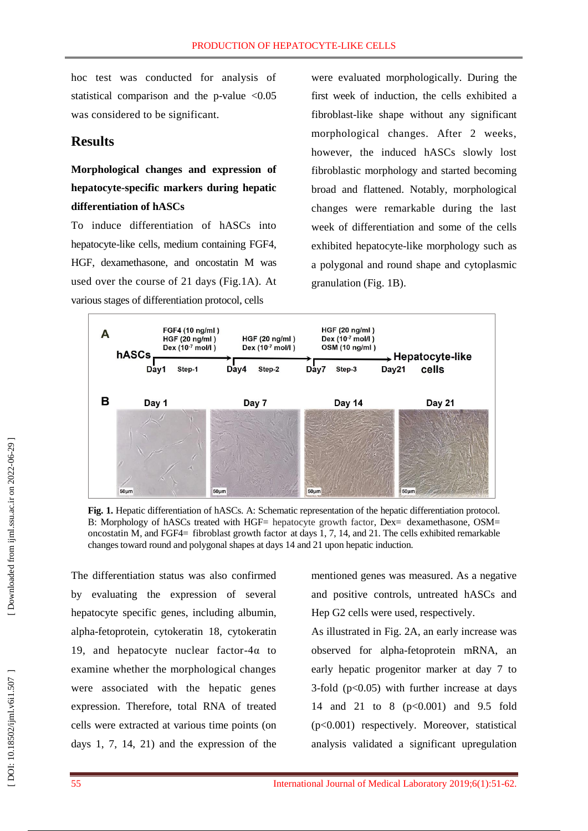hoc test was conducted for analysis of statistical comparison and the p-value <0.05 was considered to be significant.

## **Results**

**Morphological changes and expression of hepatocyte -specific markers during hepatic differentiation of hASCs**

To induce differentiation of hASCs into hepatocyte -like cells, medium containing FGF4, HGF, dexamethasone, and oncostatin M was used over the course of 21 days (Fig.1A). At various stages of differentiation protocol, cells

were evaluated morphologically. During the first week of induction, the cells exhibited a fibroblast -like shape without any significant morphological changes. After 2 weeks , however, the induced hASCs slowly lost fibroblastic morphology and started becoming broad and flattened. Notably, morphological changes were remarkable during the last week of differentiation and some of the cells exhibited hepatocyte -like morphology such as a polygonal and round shape and cytoplasmic granulation (Fig . 1B).



**Fig. 1.** Hepatic differentiation of hASCs. A: Schematic representation of the hepatic differentiation protocol. B: Morphology of hASCs treated with HGF= hepatocyte growth factor, Dex= dexamethasone, OSM= oncostatin M, and FGF4 = fibroblast growth factor at days 1, 7, 14, and 21. The cells exhibited remarkable changes toward round and polygonal shapes at days 14 and 21 upon hepatic induction.

The differentiation status was also confirmed by evaluating the expression of several hepatocyte specific genes, including albumin, alpha -fetoprotein , cytokeratin 18, cytokeratin 19, and hepatocyte nuclear factor- $4\alpha$  to examine whether the morphological changes were associated with the hepatic genes expression. Therefore, total RNA of treated cells were extracted at various time points (on days 1, 7, 14, 21) and the expression of the

mentioned genes was measured. As a negative and positive controls, untreated hASCs and Hep G2 cells were used, respectively.

As illustrated in Fig. 2A, an early increase was observed for alpha -fetoprotein mRNA, an early hepatic progenitor marker at day 7 to 3-fold (p<0.05) with further increase at days 14 and 21 to 8 (p<0.001) and 9.5 fold (p<0.001) respectively. Moreover, statistical analysis validated a significant upregulation

[Downloaded from ijml.ssu.ac.ir on 2022-06-29]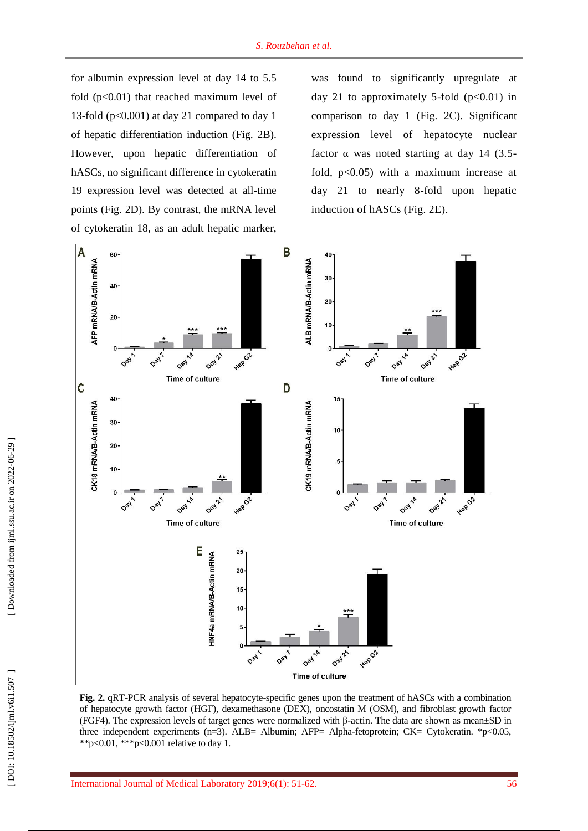for albumin expression level at day 14 to 5.5 fold  $(p<0.01)$  that reached maximum level of 13 -fold (p<0.001) at day 21 compared to day 1 of hepatic differentiation induction (Fig . 2B). However, upon hepatic differentiation of hASCs, no significant difference in cytokeratin 19 expression level was detected at all-time points (Fig. 2D). By contrast, the mRNA level of cytokeratin 18, as an adult hepatic marker,

was found to significantly upregulate at day 21 to approximately 5-fold  $(p<0.01)$  in comparison to day 1 (Fig. 2C). Significant expression level of hepatocyte nuclear factor  $\alpha$  was noted starting at day 14 (3.5fold, p<0.05) with a maximum increase at day 21 to nearly 8 -fold upon hepatic induction of hASCs (Fig. 2 E).



Fig. 2. qRT-PCR analysis of several hepatocyte-specific genes upon the treatment of hASCs with a combination of hepatocyte growth factor (HGF ), dexamethasone (DEX), oncostatin M (OSM), and fibroblast growth factor (FGF4). The expression levels of target genes were normalized with  $\beta$ -actin. The data are shown as mean $\pm$ SD in three independent experiments (n=3 ) . ALB= Albumin; AFP= Alpha -fetoprotein; CK= Cytokeratin. \*p<0.05, \*\*p<0.01, \*\*\*p<0.001 relative to day 1.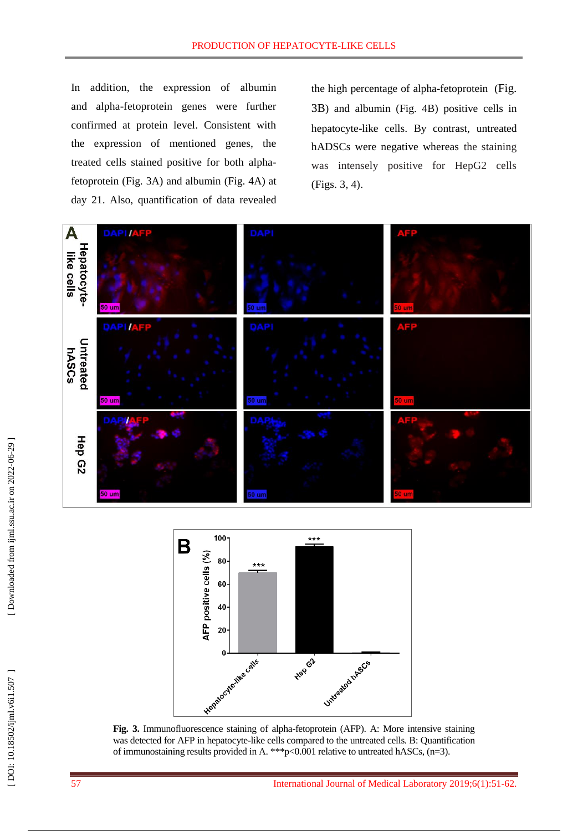In addition, the expression of albumin and alpha -fetoprotein genes were further confirmed at protein level. Consistent with the expression of mentioned genes, the treated cells stained positive for both alpha fetoprotein (Fig . 3A) and albumin (Fig . 4A) at day 21. Also, quantification of data revealed

the high percentage of alpha -fetoprotein (Fig. 3B) and albumin (Fig . 4B) positive cells in hepatocyte -like cells. By contrast, untreated hADSCs were negative whereas the staining was intensely positive for HepG2 cells (Figs. 3, 4).





Fig. 3. Immunofluorescence staining of alpha-fetoprotein (AFP). A: More intensive staining was detected for AFP in hepatocyte -like cells compared to the untreated cells. B: Quantification of immunostaining results provided in A. \*\*\* p<0.001 relative to untreated hASCs, (n=3).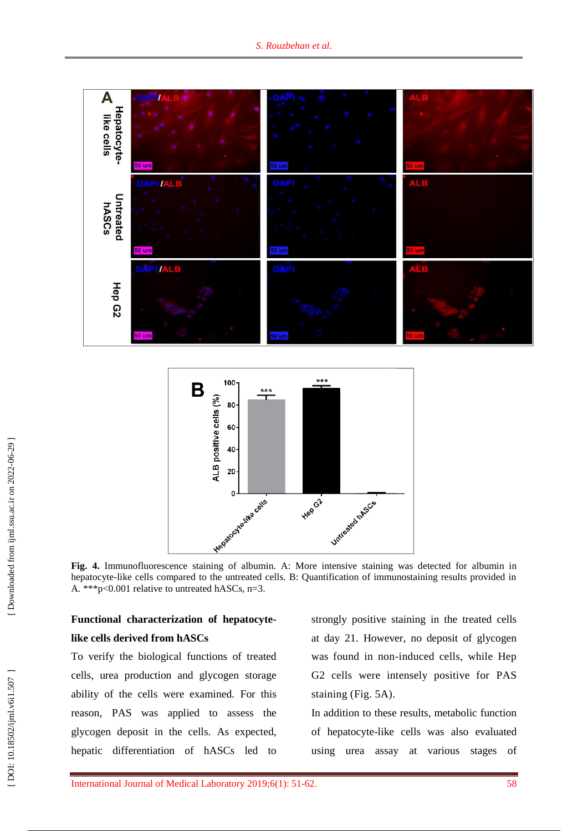

**Fig. 4.** Immunofluorescence staining of albumin. A: More intensive staining was detected for albumin in hepatocyte -like cells compared to the untreated cells. B: Quantification of immunostaining results provided in A. \*\*\*p<0.001 relative to untreated hASCs, n=3.

# **Functional characterization of hepatocyte like cells derived from hASCs**

To verify the biological functions of treated cells, urea production and glycogen storage ability of the cells were examined. For this reason, PAS was applied to assess the glycogen deposit in the cells. As expected, hepatic differentiation of hASCs led to strongly positive staining in the treated cells at day 21. However, no deposit of glycogen was found in non -induced cells, while Hep G2 cells were intensely positive for PAS staining (Fig. 5A).

In addition to these results, metabolic function of hepatocyte -like cells was also evaluated using urea assay at various stages of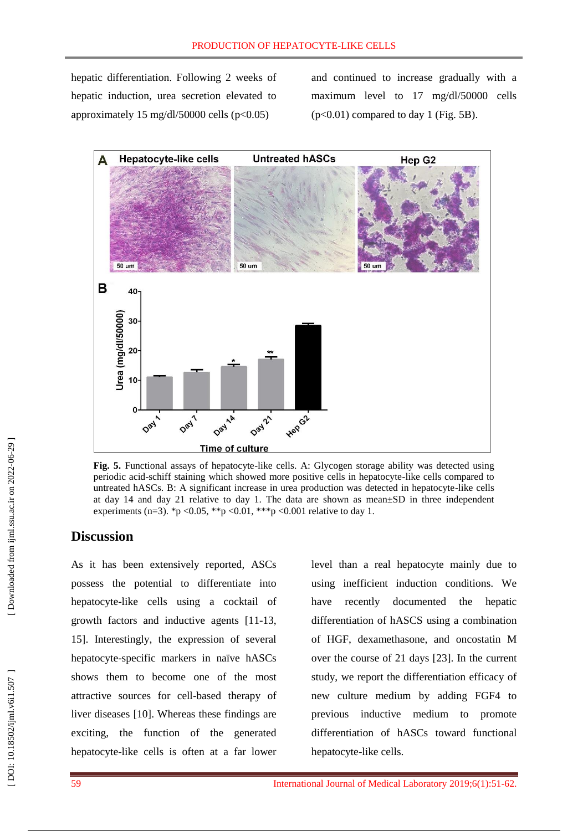hepatic differentiation. Following 2 weeks of hepatic induction, urea secretion elevated to approximately  $15 \text{ mg/d}/150000 \text{ cells}$  (p<0.05)

and continued to increase gradually with a maximum level to 17 mg/dl/50000 cells (p<0.01) compared to day 1 (Fig. 5B).



Fig. 5. Functional assays of hepatocyte-like cells. A: Glycogen storage ability was detected using periodic acid -schiff staining which showed more positive cells in hepatocyte -like cells compared to untreated hASCs. B: A significant increase in urea production was detected in hepatocyte -like cells at day 14 and day 21 relative to day 1. The data are shown as mean±SD in three independent experiments (n=3).  $np < 0.05$ ,  $\binom{4}{p} < 0.01$ ,  $\binom{4}{p} < 0.001$  relative to day 1.

### **Discussion**

As it has been extensively reported, ASCs possess the potential to differentiate into hepatocyte -like cells using a cocktail of growth factors and inductive agents [11 -13, 15]. Interestingly, the expression of several hepatocyte -specific markers in naïve hASCs shows them to become one of the most attractive source s for cell -based therapy of liver diseases [10]. Whereas these findings are exciting, the function of the generated hepatocyte -like cells is often at a far lower

level than a real hepatocyte mainly due to using inefficient induction conditions. We have recently documented the hepatic differentiation of hASCS using a combination of HGF, dexamethasone, and oncostatin M over the course of 21 days [23]. In the current study, we report the differentiation efficacy of new culture medium by adding FGF4 to previous inductive medium to promote differentiation of hASCs toward functional hepatocyte -like cells.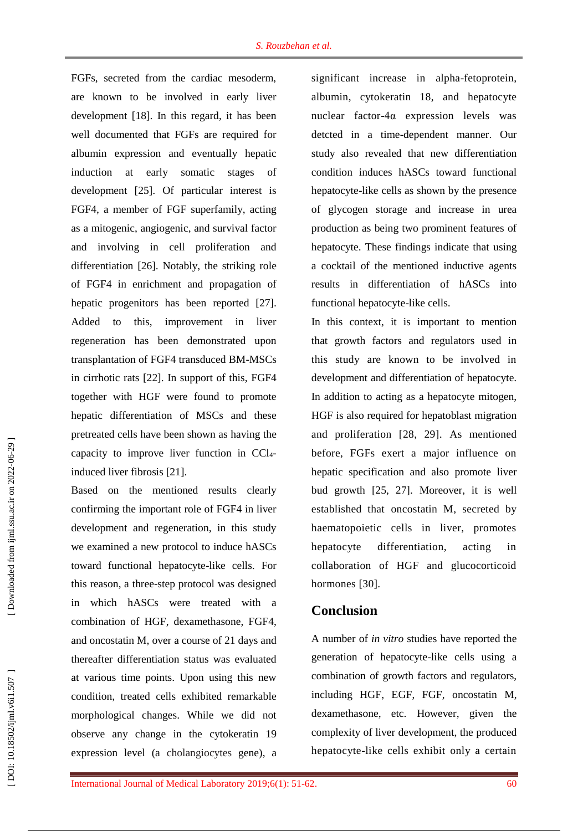FGFs, secreted from the cardiac mesoderm, are known to be involved in early liver development [18]. In this regard, it has been well documented that FGFs are required for albumin expression and eventually hepatic induction at early somatic stages of development [25]. Of particular interest is FGF4, a member of FGF superfamily, acting as a mitogenic, angiogenic, and survival factor and involving in cell proliferation and differentiation [26]. Notably, the striking role of FGF4 in enrichment and propagation of hepatic progenitors has been reported [27]. Added to this, improvement in liver regeneration has been demonstrated upon transplantation of FGF4 transduced BM -MSCs in cirrhotic rats [22]. In support of this, FGF4 together with HGF were found to promote hepatic differentiation of MSCs and these pretreated cells have been shown as having the capacity to improve liver function in CCl 4 induced liver fibrosis [21].

Based on the mentioned results clearly confirming the important role of FGF4 in liver development and regeneration, in this study we examined a new protocol to induce hASCs toward functional hepatocyte -like cells. For this reason, a three -step protocol was designed in which hASCs were treated with a combination of HGF, dexamethasone, FGF4, and oncostatin M, over a course of 21 days and thereafter differentiation status was evaluated at various time points. Upon using this new condition, treated cells exhibited remarkable morphological changes. While we did not observe any change in the cytokeratin 1 9 expression level (a cholangiocytes gene), a

significant increase in alpha -fetoprotein, albumin, cytokeratin 18, and hepatocyte nuclear factor -4α expression levels was detcted in a time -dependent manner. Our study also revealed that new differentiation condition induces hASCs toward functional hepatocyte -like cells as shown by the presence of glycogen storage and increase in urea production as being two prominent features of hepatocyte. These findings indicate that using a cocktail of the mentioned inductive agents results in differentiation of hASCs into functional hepatocyte -like cells.

In this context, it is important to mention that growth factors and regulators used in this study are known to be involved in development and differentiation of hepatocyte. In addition to acting as a hepatocyte mitogen, HGF is also required for hepatoblast migration and proliferation [28, 29]. As mentioned before, FGFs exert a major influence on hepatic specification and also promote liver bud growth [25, 27]. Moreover, it is well established that oncostatin M, secreted by haematopoietic cells in liver, promotes hepatocyte differentiation, acting in collaboration of HGF and glucocorticoid hormones [30].

# **Conclusion**

A number of *in vitro* studies have reported the generation of hepatocyte -like cells using a combination of growth factors and regulators, including HGF, EGF, FGF, oncostatin M, dexamethasone, etc. However, given the complexity of liver development, the produced hepatocyte -like cells exhibit only a certain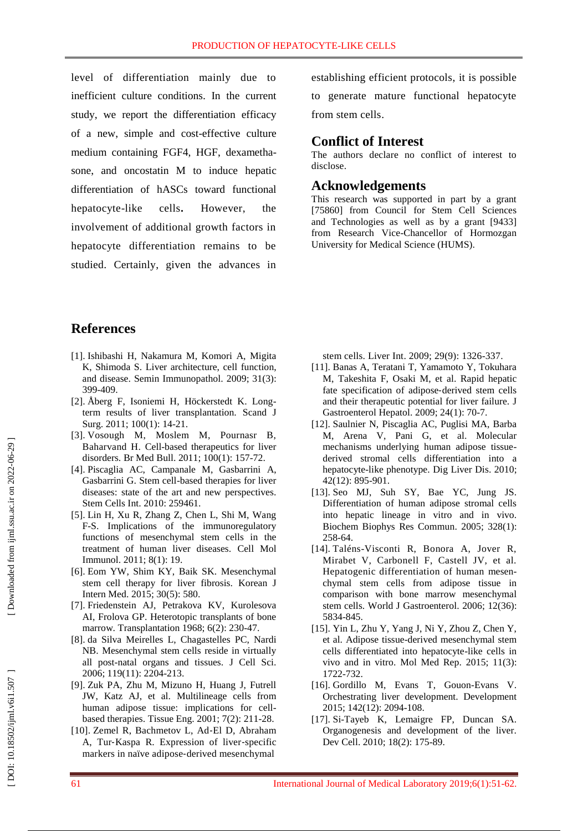level of differentiation mainly due to inefficient culture conditions. In the current study, we report the differentiation efficacy of a new, simple and cost -effective culture medium containing FGF4, HGF, dexametha sone, and oncostatin M to induce hepatic differentiation of hASCs toward functional hepatocyte cells. However, the involvement of additional growth factors in hepatocyte differentiation remains to be studied. Certainly, given the advances in

establishing efficient protocols , it is possible

to generate mature functional hepatocyte from stem cells.

## **Conflict of Interest**

The authors declare no conflict of interest to disclose.

## **Acknowledgement s**

This research was supported in part by a grant [75860] from Council for Stem Cell Sciences and Technologies as well as by a grant [9433] from Research Vice -Chancellor of Hormozgan University for Medical Science (HUMS).

## **References**

- [1]. Ishibashi H, Nakamura M, Komori A, Migita K, Shimoda S. Liver architecture, cell function, and disease. Semin Immunopathol . 2009; 31(3): 399 -409.
- [ 2]. Åberg F, Isoniemi H, Höckerstedt K. Long term results of liver transplantation. [Scand J](https://www.ncbi.nlm.nih.gov/pubmed/?term=Long-term+results+of+liver+transplantation.+Scandinavian+Journal+of+Surgery)  [Surg](https://www.ncbi.nlm.nih.gov/pubmed/?term=Long-term+results+of+liver+transplantation.+Scandinavian+Journal+of+Surgery). 2011; 100(1): 14-21.
- [ 3]. Vosough M, Moslem M, Pournasr B, Baharvand H. Cell -based therapeutics for liver disorders. [Br Med Bull](https://www.ncbi.nlm.nih.gov/pubmed/?term=Cell-based+therapeutics+for+liver+disorders.+British+medical+bulletin) . 2011; 100(1): 157 -72.
- [ 4]. Piscaglia AC, Campanale M, Gasbarrini A, Gasbarrini G. Stem cell -based therapies for liver diseases: state of the art and new perspectives. [Stem Cells Int](https://www.ncbi.nlm.nih.gov/pubmed/?term=Stem+cell-based+therapies+for+liver+diseases%3A+state+of+the+art+and+new+perspectives.+Stem+cells+international) . 2010: 259461 .
- [ 5]. Lin H, Xu R, Zhang Z, Chen L, Shi M, Wang F-S. Implications of the immunoregulatory functions of mesenchymal stem cells in the treatment of human liver diseases. [Cell Mol](https://www.ncbi.nlm.nih.gov/pubmed/?term=Implications+of+the+immunoregulatory+functions+of+mesenchymal+stem+cells+in+the+treatment+of+human+liver+diseases)  [Immunol](https://www.ncbi.nlm.nih.gov/pubmed/?term=Implications+of+the+immunoregulatory+functions+of+mesenchymal+stem+cells+in+the+treatment+of+human+liver+diseases) . 2011; 8(1): 19.
- [ 6]. Eom YW, Shim KY, Baik SK. Mesenchymal stem cell therapy for liver fibrosis. [Korean J](https://www.ncbi.nlm.nih.gov/pubmed/?term=Mesenchymal+stem+cell+therapy+for+liver+fibrosis.+The+Korean+journal+of+internal+medicine)  [Intern Med](https://www.ncbi.nlm.nih.gov/pubmed/?term=Mesenchymal+stem+cell+therapy+for+liver+fibrosis.+The+Korean+journal+of+internal+medicine) . 2015; 30(5): 580.
- [ 7]. Friedenstein AJ, Petrakova KV, Kurolesova AI, Frolova GP. Heterotopic transplants of bone marrow. Transplantation 1968; 6(2): 230 -47.
- [ 8]. da Silva Meirelles L, Chagastelles PC, Nardi NB. Mesenchymal stem cells reside in virtually all post -natal organs and tissues. [J Cell Sci](https://www.ncbi.nlm.nih.gov/pubmed/?term=Mesenchymal+stem+cells+reside+in+virtually+all+post-natal+organs+and+tissues.+Journal+of+cell+science.) . 2006; 119(11): 2204 - 213.
- [ 9]. Zuk PA, Zhu M, Mizuno H, Huang J, Futrell JW, Katz AJ, et al. Multilineage cells from human adipose tissue: implications for cell based therapies[. Tissue](https://www.ncbi.nlm.nih.gov/pubmed/?term=Multilineage+cells+from+human+adipose+tissue%3A+implications+for+cell-based+therapies.+Tissue+engineering) Eng . 2001; 7(2): 211 -28.
- [10]. Zemel R, Bachmetov L, Ad ‐El D, Abraham A, Tur ‐Kaspa R. Expression of liver ‐specific markers in naïve adipose ‐derived mesenchymal

stem cells. [Liver Int](https://www.ncbi.nlm.nih.gov/pubmed/?term=Expression+of+liver%E2%80%90specific+markers+in+na%C3%AFve+adipose%E2%80%90derived+mesenchymal+stem+cells.+Liver+International) . 2009; 29(9): 1326 - 337.

- [11]. Banas A, Teratani T, Yamamoto Y, Tokuhara M, Takeshita F, Osaki M, et al. Rapid hepatic fate specification of adipose-derived stem cells and their therapeutic potential for liver failure. [J](https://www.ncbi.nlm.nih.gov/pubmed/?term=Rapid+hepatic+fate+specification+of+adipose%E2%80%90derived+stem+cells+and+their+therapeutic+potential+for+liver+failure.)  [Gastroenterol Hepatol](https://www.ncbi.nlm.nih.gov/pubmed/?term=Rapid+hepatic+fate+specification+of+adipose%E2%80%90derived+stem+cells+and+their+therapeutic+potential+for+liver+failure.) . 2009; 24(1): 70 -7.
- [12]. Saulnier N, Piscaglia AC, Puglisi MA, Barba M, Arena V, Pani G, et al. Molecular mechanisms underlying human adipose tissue derived stromal cells differentiation into a hepatocyte -like phenotype. [Dig Liver Dis](https://www.ncbi.nlm.nih.gov/pubmed/20605541) . 2010; 42(12): 895 -901.
- [13]. Seo MJ, Suh SY, Bae YC, Jung JS. Differentiation of human adipose stromal cells into hepatic lineage in vitro and in vivo. [Biochem Biophys Res Commun](https://www.ncbi.nlm.nih.gov/pubmed/?term=Differentiation+of+human+adipose+stromal+cells+into+hepatic+lineage+in+vitro+and+in+vivo.+Biochemical+and+biophysical+research+communications) . 2005; 328(1): 258 -64.
- [14]. Taléns -Visconti R, Bonora A, Jover R, Mirabet V, Carbonell F, Castell JV, et al. Hepatogenic differentiation of human mesen chymal stem cells from adipose tissue in comparison with bone marrow mesenchymal stem cells. World J Gastroenterol . 2006; 12(36): 5834 -845 .
- [15]. Yin L, Zhu Y, Yang J, Ni Y, Zhou Z, Chen Y, et al. Adipose tissue -derived mesenchymal stem cells differentiated into hepatocyte -like cells in vivo and in vitro. [Mol Med Rep](https://www.ncbi.nlm.nih.gov/pubmed/?term=Adipose+tissue-derived+mesenchymal+stem+cells+differentiated+into+hepatocyte-like+cells+in+vivo+and+in+vitro.+Molecular+medicine+reports) . 2015; 11(3): 1722 - 732.
- [16]. Gordillo M, Evans T, Gouon -Evans V. Orchestrating liver development. Development 2015; 142(12): 2094 -108.
- [17]. Si -Tayeb K, Lemaigre FP, Duncan SA. Organogenesis and development of the liver. [Dev Cell](https://www.ncbi.nlm.nih.gov/pubmed/20159590). 2010; 18(2): 175-89.